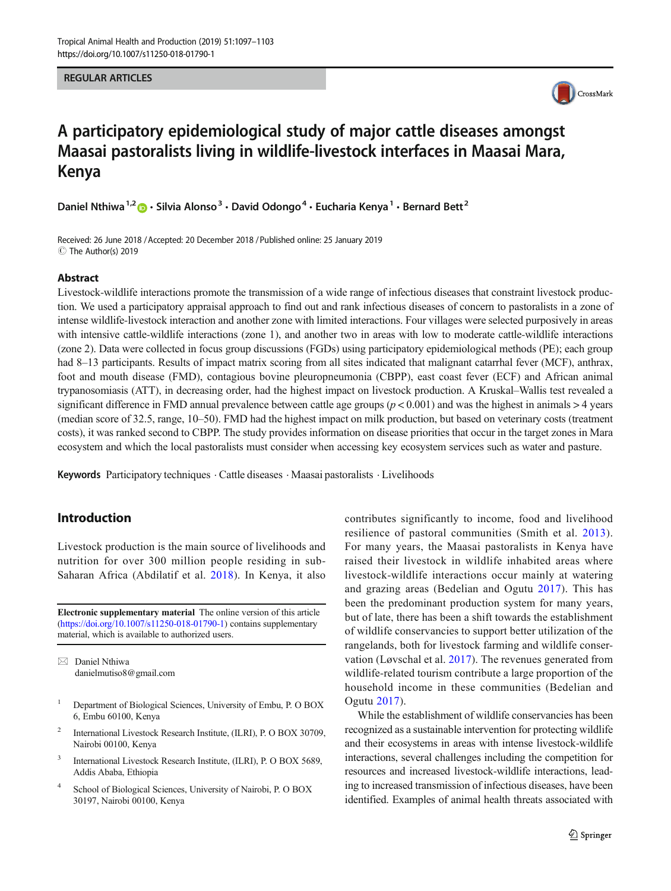#### REGULAR ARTICLES



# A participatory epidemiological study of major cattle diseases amongst Maasai pastoralists living in wildlife-livestock interfaces in Maasai Mara, Kenya

Daniel Nthiwa<sup>1,2</sup>  $\cdot$  Silvia Alonso<sup>3</sup>  $\cdot$  David Odongo<sup>4</sup>  $\cdot$  Eucharia Kenya<sup>1</sup>  $\cdot$  Bernard Bett<sup>2</sup>

Received: 26 June 2018 /Accepted: 20 December 2018 /Published online: 25 January 2019 © The Author(s) 2019

#### Abstract

Livestock-wildlife interactions promote the transmission of a wide range of infectious diseases that constraint livestock production. We used a participatory appraisal approach to find out and rank infectious diseases of concern to pastoralists in a zone of intense wildlife-livestock interaction and another zone with limited interactions. Four villages were selected purposively in areas with intensive cattle-wildlife interactions (zone 1), and another two in areas with low to moderate cattle-wildlife interactions (zone 2). Data were collected in focus group discussions (FGDs) using participatory epidemiological methods (PE); each group had 8–13 participants. Results of impact matrix scoring from all sites indicated that malignant catarrhal fever (MCF), anthrax, foot and mouth disease (FMD), contagious bovine pleuropneumonia (CBPP), east coast fever (ECF) and African animal trypanosomiasis (ATT), in decreasing order, had the highest impact on livestock production. A Kruskal–Wallis test revealed a significant difference in FMD annual prevalence between cattle age groups  $(p < 0.001)$  and was the highest in animals  $> 4$  years (median score of 32.5, range, 10–50). FMD had the highest impact on milk production, but based on veterinary costs (treatment costs), it was ranked second to CBPP. The study provides information on disease priorities that occur in the target zones in Mara ecosystem and which the local pastoralists must consider when accessing key ecosystem services such as water and pasture.

**Keywords** Participatory techniques  $\cdot$  Cattle diseases  $\cdot$  Maasai pastoralists  $\cdot$  Livelihoods

# Introduction

Livestock production is the main source of livelihoods and nutrition for over 300 million people residing in sub-Saharan Africa (Abdilatif et al. [2018](#page-6-0)). In Kenya, it also

Electronic supplementary material The online version of this article (<https://doi.org/10.1007/s11250-018-01790-1>) contains supplementary material, which is available to authorized users.

 $\boxtimes$  Daniel Nthiwa [danielmutiso8@gmail.com](mailto:danielmutiso8@gmail.com)

- <sup>1</sup> Department of Biological Sciences, University of Embu, P. O BOX 6, Embu 60100, Kenya
- <sup>2</sup> International Livestock Research Institute, (ILRI), P. O BOX 30709, Nairobi 00100, Kenya
- <sup>3</sup> International Livestock Research Institute, (ILRI), P. O BOX 5689, Addis Ababa, Ethiopia
- <sup>4</sup> School of Biological Sciences, University of Nairobi, P. O BOX 30197, Nairobi 00100, Kenya

contributes significantly to income, food and livelihood resilience of pastoral communities (Smith et al. [2013](#page-6-0)). For many years, the Maasai pastoralists in Kenya have raised their livestock in wildlife inhabited areas where livestock-wildlife interactions occur mainly at watering and grazing areas (Bedelian and Ogutu [2017](#page-6-0)). This has been the predominant production system for many years, but of late, there has been a shift towards the establishment of wildlife conservancies to support better utilization of the rangelands, both for livestock farming and wildlife conservation (Løvschal et al. [2017\)](#page-6-0). The revenues generated from wildlife-related tourism contribute a large proportion of the household income in these communities (Bedelian and Ogutu [2017\)](#page-6-0).

While the establishment of wildlife conservancies has been recognized as a sustainable intervention for protecting wildlife and their ecosystems in areas with intense livestock-wildlife interactions, several challenges including the competition for resources and increased livestock-wildlife interactions, leading to increased transmission of infectious diseases, have been identified. Examples of animal health threats associated with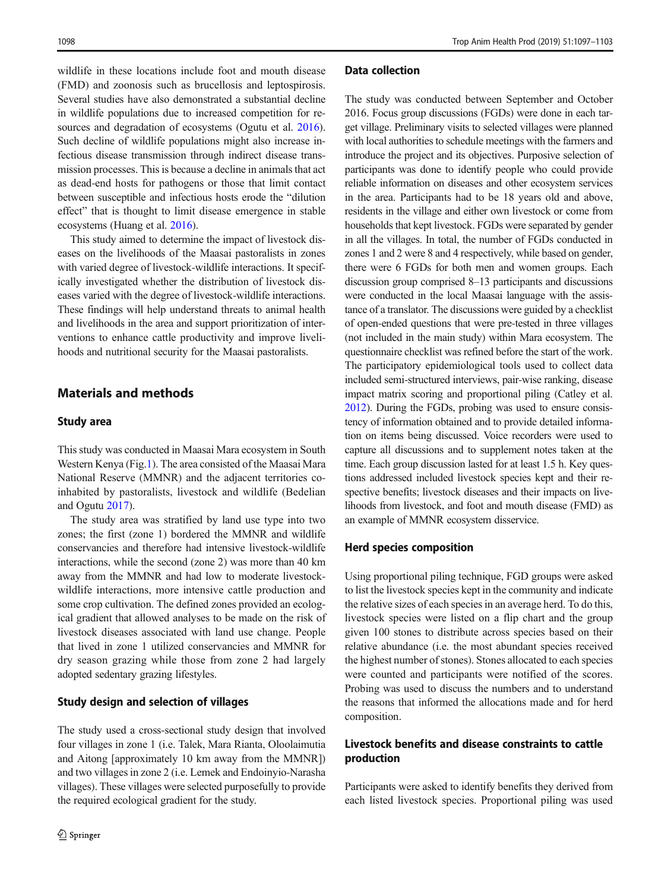wildlife in these locations include foot and mouth disease (FMD) and zoonosis such as brucellosis and leptospirosis. Several studies have also demonstrated a substantial decline in wildlife populations due to increased competition for resources and degradation of ecosystems (Ogutu et al. [2016\)](#page-6-0). Such decline of wildlife populations might also increase infectious disease transmission through indirect disease transmission processes. This is because a decline in animals that act as dead-end hosts for pathogens or those that limit contact between susceptible and infectious hosts erode the "dilution effect" that is thought to limit disease emergence in stable ecosystems (Huang et al. [2016\)](#page-6-0).

This study aimed to determine the impact of livestock diseases on the livelihoods of the Maasai pastoralists in zones with varied degree of livestock-wildlife interactions. It specifically investigated whether the distribution of livestock diseases varied with the degree of livestock-wildlife interactions. These findings will help understand threats to animal health and livelihoods in the area and support prioritization of interventions to enhance cattle productivity and improve livelihoods and nutritional security for the Maasai pastoralists.

# Materials and methods

#### Study area

This study was conducted in Maasai Mara ecosystem in South Western Kenya (Fig[.1](#page-2-0)). The area consisted of the Maasai Mara National Reserve (MMNR) and the adjacent territories coinhabited by pastoralists, livestock and wildlife (Bedelian and Ogutu [2017](#page-6-0)).

The study area was stratified by land use type into two zones; the first (zone 1) bordered the MMNR and wildlife conservancies and therefore had intensive livestock-wildlife interactions, while the second (zone 2) was more than 40 km away from the MMNR and had low to moderate livestockwildlife interactions, more intensive cattle production and some crop cultivation. The defined zones provided an ecological gradient that allowed analyses to be made on the risk of livestock diseases associated with land use change. People that lived in zone 1 utilized conservancies and MMNR for dry season grazing while those from zone 2 had largely adopted sedentary grazing lifestyles.

#### Study design and selection of villages

The study used a cross-sectional study design that involved four villages in zone 1 (i.e. Talek, Mara Rianta, Oloolaimutia and Aitong [approximately 10 km away from the MMNR]) and two villages in zone 2 (i.e. Lemek and Endoinyio-Narasha villages). These villages were selected purposefully to provide the required ecological gradient for the study.

#### Data collection

The study was conducted between September and October 2016. Focus group discussions (FGDs) were done in each target village. Preliminary visits to selected villages were planned with local authorities to schedule meetings with the farmers and introduce the project and its objectives. Purposive selection of participants was done to identify people who could provide reliable information on diseases and other ecosystem services in the area. Participants had to be 18 years old and above, residents in the village and either own livestock or come from households that kept livestock. FGDs were separated by gender in all the villages. In total, the number of FGDs conducted in zones 1 and 2 were 8 and 4 respectively, while based on gender, there were 6 FGDs for both men and women groups. Each discussion group comprised 8–13 participants and discussions were conducted in the local Maasai language with the assistance of a translator. The discussions were guided by a checklist of open-ended questions that were pre-tested in three villages (not included in the main study) within Mara ecosystem. The questionnaire checklist was refined before the start of the work. The participatory epidemiological tools used to collect data included semi-structured interviews, pair-wise ranking, disease impact matrix scoring and proportional piling (Catley et al. [2012](#page-6-0)). During the FGDs, probing was used to ensure consistency of information obtained and to provide detailed information on items being discussed. Voice recorders were used to capture all discussions and to supplement notes taken at the time. Each group discussion lasted for at least 1.5 h. Key questions addressed included livestock species kept and their respective benefits; livestock diseases and their impacts on livelihoods from livestock, and foot and mouth disease (FMD) as an example of MMNR ecosystem disservice.

#### Herd species composition

Using proportional piling technique, FGD groups were asked to list the livestock species kept in the community and indicate the relative sizes of each species in an average herd. To do this, livestock species were listed on a flip chart and the group given 100 stones to distribute across species based on their relative abundance (i.e. the most abundant species received the highest number of stones). Stones allocated to each species were counted and participants were notified of the scores. Probing was used to discuss the numbers and to understand the reasons that informed the allocations made and for herd composition.

# Livestock benefits and disease constraints to cattle production

Participants were asked to identify benefits they derived from each listed livestock species. Proportional piling was used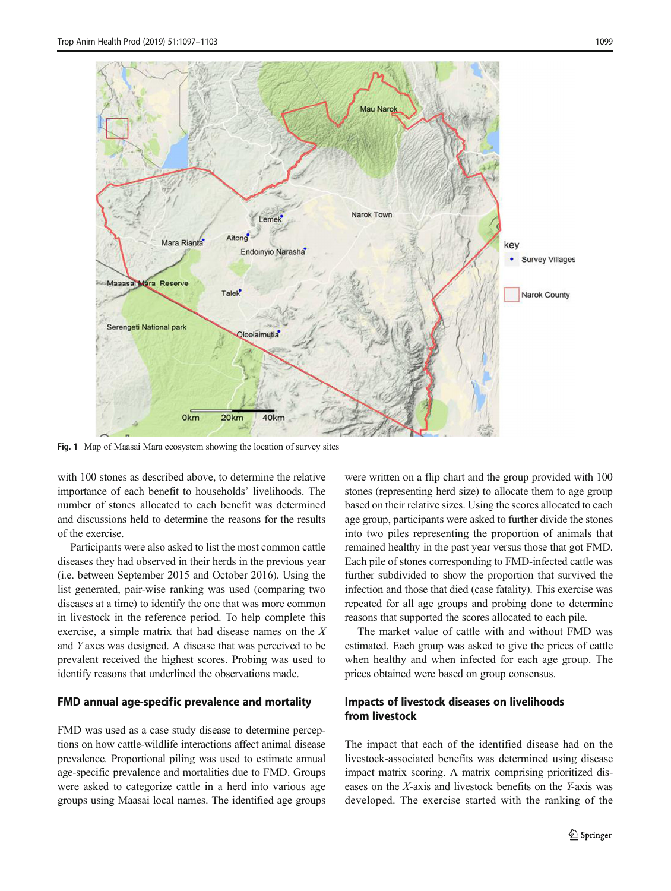<span id="page-2-0"></span>

Fig. 1 Map of Maasai Mara ecosystem showing the location of survey sites

with 100 stones as described above, to determine the relative importance of each benefit to households' livelihoods. The number of stones allocated to each benefit was determined and discussions held to determine the reasons for the results of the exercise.

Participants were also asked to list the most common cattle diseases they had observed in their herds in the previous year (i.e. between September 2015 and October 2016). Using the list generated, pair-wise ranking was used (comparing two diseases at a time) to identify the one that was more common in livestock in the reference period. To help complete this exercise, a simple matrix that had disease names on the  $X$ and Y axes was designed. A disease that was perceived to be prevalent received the highest scores. Probing was used to identify reasons that underlined the observations made.

# FMD annual age-specific prevalence and mortality

FMD was used as a case study disease to determine perceptions on how cattle-wildlife interactions affect animal disease prevalence. Proportional piling was used to estimate annual age-specific prevalence and mortalities due to FMD. Groups were asked to categorize cattle in a herd into various age groups using Maasai local names. The identified age groups were written on a flip chart and the group provided with 100 stones (representing herd size) to allocate them to age group based on their relative sizes. Using the scores allocated to each age group, participants were asked to further divide the stones into two piles representing the proportion of animals that remained healthy in the past year versus those that got FMD. Each pile of stones corresponding to FMD-infected cattle was further subdivided to show the proportion that survived the infection and those that died (case fatality). This exercise was repeated for all age groups and probing done to determine reasons that supported the scores allocated to each pile.

The market value of cattle with and without FMD was estimated. Each group was asked to give the prices of cattle when healthy and when infected for each age group. The prices obtained were based on group consensus.

# Impacts of livestock diseases on livelihoods from livestock

The impact that each of the identified disease had on the livestock-associated benefits was determined using disease impact matrix scoring. A matrix comprising prioritized diseases on the X-axis and livestock benefits on the Y-axis was developed. The exercise started with the ranking of the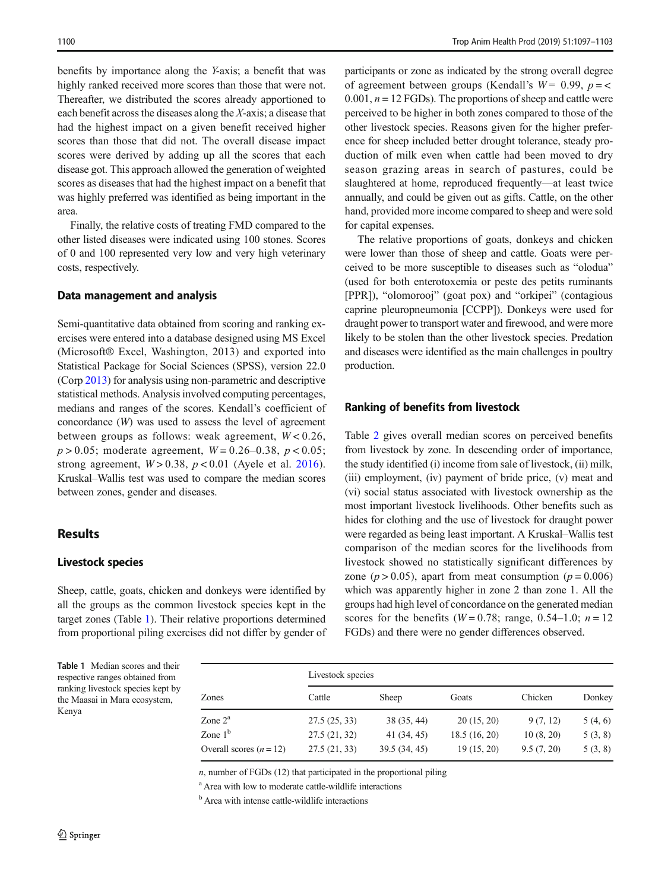benefits by importance along the Y-axis; a benefit that was highly ranked received more scores than those that were not. Thereafter, we distributed the scores already apportioned to each benefit across the diseases along the X-axis; a disease that had the highest impact on a given benefit received higher scores than those that did not. The overall disease impact scores were derived by adding up all the scores that each disease got. This approach allowed the generation of weighted scores as diseases that had the highest impact on a benefit that was highly preferred was identified as being important in the area.

Finally, the relative costs of treating FMD compared to the other listed diseases were indicated using 100 stones. Scores of 0 and 100 represented very low and very high veterinary costs, respectively.

#### Data management and analysis

Semi-quantitative data obtained from scoring and ranking exercises were entered into a database designed using MS Excel (Microsoft® Excel, Washington, 2013) and exported into Statistical Package for Social Sciences (SPSS), version 22.0 (Corp [2013](#page-6-0)) for analysis using non-parametric and descriptive statistical methods. Analysis involved computing percentages, medians and ranges of the scores. Kendall's coefficient of concordance (W) was used to assess the level of agreement between groups as follows: weak agreement,  $W < 0.26$ ,  $p > 0.05$ ; moderate agreement,  $W = 0.26 - 0.38$ ,  $p < 0.05$ ; strong agreement,  $W > 0.38$ ,  $p < 0.01$  (Ayele et al. [2016](#page-6-0)). Kruskal–Wallis test was used to compare the median scores between zones, gender and diseases.

#### Results

#### Livestock species

Sheep, cattle, goats, chicken and donkeys were identified by all the groups as the common livestock species kept in the target zones (Table 1). Their relative proportions determined from proportional piling exercises did not differ by gender of

Table 1 Median scores and their respective ranges obtained from ranking livestock species kept by the Maasai in Mara ecosystem, Kenya

participants or zone as indicated by the strong overall degree of agreement between groups (Kendall's  $W = 0.99$ ,  $p = \lt$ 0.001,  $n = 12$  FGDs). The proportions of sheep and cattle were perceived to be higher in both zones compared to those of the other livestock species. Reasons given for the higher preference for sheep included better drought tolerance, steady production of milk even when cattle had been moved to dry season grazing areas in search of pastures, could be slaughtered at home, reproduced frequently—at least twice annually, and could be given out as gifts. Cattle, on the other hand, provided more income compared to sheep and were sold for capital expenses.

The relative proportions of goats, donkeys and chicken were lower than those of sheep and cattle. Goats were perceived to be more susceptible to diseases such as "olodua" (used for both enterotoxemia or peste des petits ruminants [PPR]), "olomorooj" (goat pox) and "orkipei" (contagious caprine pleuropneumonia [CCPP]). Donkeys were used for draught power to transport water and firewood, and were more likely to be stolen than the other livestock species. Predation and diseases were identified as the main challenges in poultry production.

#### Ranking of benefits from livestock

Table [2](#page-4-0) gives overall median scores on perceived benefits from livestock by zone. In descending order of importance, the study identified (i) income from sale of livestock, (ii) milk, (iii) employment, (iv) payment of bride price, (v) meat and (vi) social status associated with livestock ownership as the most important livestock livelihoods. Other benefits such as hides for clothing and the use of livestock for draught power were regarded as being least important. A Kruskal–Wallis test comparison of the median scores for the livelihoods from livestock showed no statistically significant differences by zone ( $p > 0.05$ ), apart from meat consumption ( $p = 0.006$ ) which was apparently higher in zone 2 than zone 1. All the groups had high level of concordance on the generated median scores for the benefits ( $W = 0.78$ ; range, 0.54–1.0;  $n = 12$ FGDs) and there were no gender differences observed.

|                           | Livestock species |               |              |            |         |  |  |
|---------------------------|-------------------|---------------|--------------|------------|---------|--|--|
| Zones                     | Cattle            | Sheep         | Goats        | Chicken    | Donkey  |  |  |
| Zone $2^{\rm a}$          | 27.5(25, 33)      | 38 (35, 44)   | 20(15, 20)   | 9(7, 12)   | 5(4, 6) |  |  |
| Zone $1b$                 | 27.5(21, 32)      | 41(34, 45)    | 18.5(16, 20) | 10(8, 20)  | 5(3, 8) |  |  |
| Overall scores $(n = 12)$ | 27.5(21, 33)      | 39.5 (34, 45) | 19(15, 20)   | 9.5(7, 20) | 5(3, 8) |  |  |

 $n$ , number of FGDs (12) that participated in the proportional piling

<sup>a</sup> Area with low to moderate cattle-wildlife interactions

<sup>b</sup> Area with intense cattle-wildlife interactions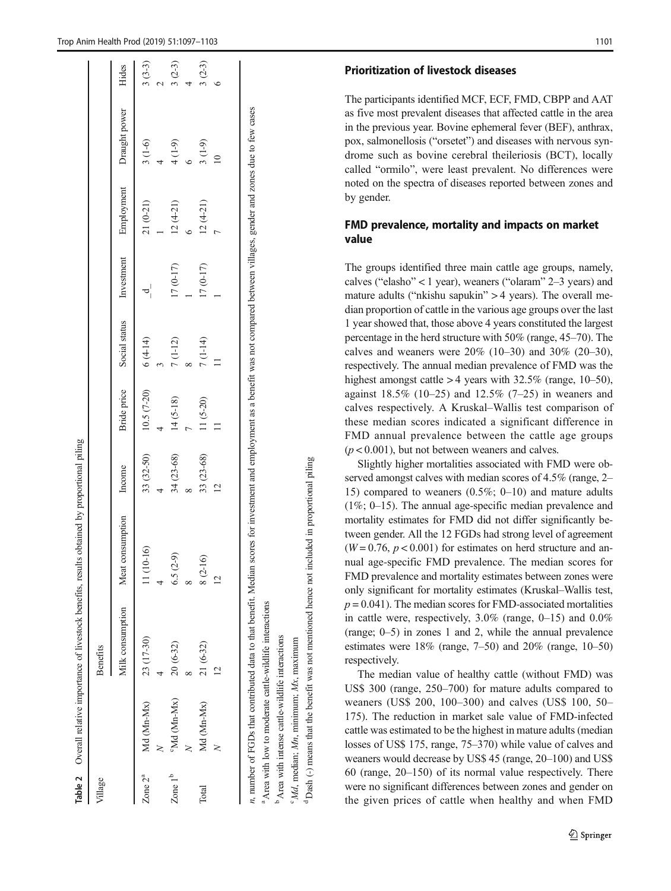#### Prioritization of livestock diseases

# FMD prevalence, mortality and impacts on market value

| J                       |
|-------------------------|
| $\ddot{\phantom{0}}$    |
| l                       |
|                         |
| ֦֖֚֡֝֬֝֟֟֓֬֝֬֝          |
|                         |
| i                       |
| :                       |
|                         |
|                         |
|                         |
|                         |
|                         |
|                         |
|                         |
|                         |
| į                       |
|                         |
| į                       |
| ļ                       |
|                         |
|                         |
|                         |
|                         |
|                         |
| i                       |
| i                       |
|                         |
|                         |
|                         |
|                         |
| ؛<br>!                  |
|                         |
|                         |
|                         |
|                         |
|                         |
|                         |
|                         |
|                         |
|                         |
|                         |
| $\epsilon$<br>ı         |
| ahla<br>$\frac{\nu}{2}$ |
|                         |

<span id="page-4-0"></span>

| Hides            | $3(3-3)$<br>2    |                         | $3(2-3)$                    | $\overline{4}$          | $3(2-3)$<br>6                                 |                 | <b>Prioritization of livestock diseases</b>                                                                                                                                                                                                                                                                                                                                                                                                                                                       |  |
|------------------|------------------|-------------------------|-----------------------------|-------------------------|-----------------------------------------------|-----------------|---------------------------------------------------------------------------------------------------------------------------------------------------------------------------------------------------------------------------------------------------------------------------------------------------------------------------------------------------------------------------------------------------------------------------------------------------------------------------------------------------|--|
| Draught power    | $3(1-6)$         |                         | $4(1-9)$                    |                         | $3(1-9)$                                      | $\overline{10}$ | The participants identified MCF, ECF, FMD, CBPP and AAT<br>as five most prevalent diseases that affected cattle in the area<br>in the previous year. Bovine ephemeral fever (BEF), anthrax,<br>pox, salmonellosis ("orsetet") and diseases with nervous syn-<br>drome such as bovine cerebral theileriosis (BCT), locally<br>called "ormilo", were least prevalent. No differences were<br>noted on the spectra of diseases reported between zones and                                            |  |
| Employment       | $21(0-21)$       |                         | $12(4-21)$                  |                         | $12(4-21)$<br>7                               |                 | by gender.<br>FMD prevalence, mortality and impacts on market<br>value                                                                                                                                                                                                                                                                                                                                                                                                                            |  |
| Investment       | $\triangleq$     |                         | $17(0-17)$                  |                         | $17(0-17)$                                    |                 | The groups identified three main cattle age groups, namely,<br>calves ("elasho" < 1 year), weaners ("olaram" 2-3 years) and<br>mature adults ("nkishu sapukin" > 4 years). The overall me-<br>dian proportion of cattle in the various age groups over the last                                                                                                                                                                                                                                   |  |
| Social status    | $6(4-14)$        |                         | $7(1-12)$                   |                         | $7(1-14)$                                     |                 | 1 year showed that, those above 4 years constituted the largest<br>percentage in the herd structure with 50% (range, 45–70). The<br>calves and weaners were $20\%$ (10-30) and 30% (20-30),<br>respectively. The annual median prevalence of FMD was the                                                                                                                                                                                                                                          |  |
| Bride price      | $10.5(7-20)$     |                         | $14(5-18)$                  |                         | $11(5-20)$                                    | $\equiv$        | highest amongst cattle > 4 years with $32.5\%$ (range, 10-50).<br>against $18.5\%$ (10-25) and $12.5\%$ (7-25) in weaners and<br>calves respectively. A Kruskal-Wallis test comparison of<br>these median scores indicated a significant difference in<br>FMD annual prevalence between the cattle age groups                                                                                                                                                                                     |  |
| Income           | 33 (32-50)       | $\overline{a}$          | $34(23-68)$<br>8            |                         | $33(23-68)$<br>12                             |                 | $(p < 0.001)$ , but not between weaners and calves.<br>in proportional piling<br>Slightly higher mortalities associated with FMD were ob-<br>served amongst calves with median scores of 4.5% (range, 2-<br>15) compared to weaners $(0.5\%; 0-10)$ and mature adults                                                                                                                                                                                                                             |  |
| Meat consumption | 11 (10-16)       |                         | $6.5(2-9)$                  | $\infty$                | $\begin{array}{c} 8 (2-16) \\ 12 \end{array}$ |                 | $(1\%; 0-15)$ . The annual age-specific median prevalence and<br>mortality estimates for FMD did not differ significantly be-<br>tween gender. All the 12 FGDs had strong level of agreement<br>$(W = 0.76, p < 0.001)$ for estimates on herd structure and an-<br>nual age-specific FMD prevalence. The median scores for<br>FMD prevalence and mortality estimates between zones were<br>only significant for mortality estimates (Kruskal-Wallis test,                                         |  |
| Milk consumption | 23 (17-30)       |                         | $20(6-32)$                  |                         | $21(6-32)$                                    | $\overline{12}$ | $^{\rm d}$ Dash (-) means that the benefit was not mentioned hence not included<br>$p = 0.041$ ). The median scores for FMD-associated mortalities<br>in cattle were, respectively, $3.0\%$ (range, 0-15) and 0.0%<br>(range; 0-5) in zones 1 and 2, while the annual prevalence<br>estimates were 18% (range, 7-50) and 20% (range, 10-50)<br>respectively.<br>The median value of healthy cattle (without FMD) was                                                                              |  |
|                  | Md (Mn-Mx)       | $\overline{\mathbf{X}}$ | $^{\circ}\!{\rm M}$ (Mn-Mx) | $\overline{\mathbf{z}}$ | Md (Mn-Mx) ${\cal N}$                         |                 | <sup>b</sup> Area with intense cattle-wildlife interactions<br>${}^{\circ}$ Md, median; Mn, minimum; Mx, maximum<br>US\$ 300 (range, 250-700) for mature adults compared to<br>weaners (US\$ 200, 100-300) and calves (US\$ 100, 50-<br>175). The reduction in market sale value of FMD-infected<br>cattle was estimated to be the highest in mature adults (median<br>losses of US\$ 175, range, 75–370) while value of calves and<br>weaners would decrease by US\$ 45 (range, 20-100) and US\$ |  |
| Village          | Zone $2^{\rm a}$ |                         | Zone $1^{\rm b}$            |                         | Total                                         |                 | 60 (range, 20-150) of its normal value respectively. There<br>were no significant differences between zones and gender on<br>the given prices of cattle when healthy and when FMD                                                                                                                                                                                                                                                                                                                 |  |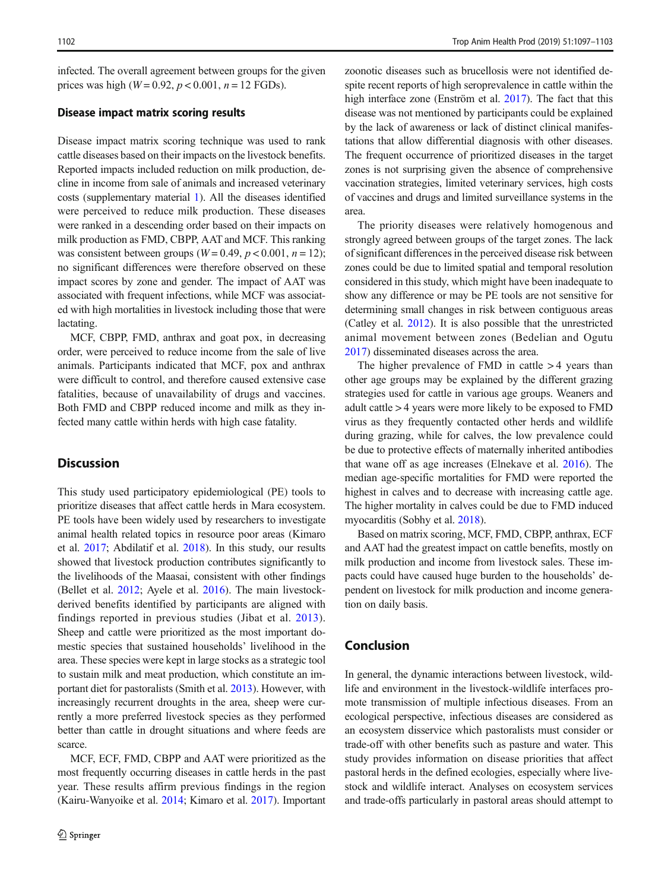infected. The overall agreement between groups for the given prices was high ( $W = 0.92$ ,  $p < 0.001$ ,  $n = 12$  FGDs).

#### Disease impact matrix scoring results

Disease impact matrix scoring technique was used to rank cattle diseases based on their impacts on the livestock benefits. Reported impacts included reduction on milk production, decline in income from sale of animals and increased veterinary costs (supplementary material 1). All the diseases identified were perceived to reduce milk production. These diseases were ranked in a descending order based on their impacts on milk production as FMD, CBPP, AAT and MCF. This ranking was consistent between groups ( $W = 0.49$ ,  $p < 0.001$ ,  $n = 12$ ); no significant differences were therefore observed on these impact scores by zone and gender. The impact of AAT was associated with frequent infections, while MCF was associated with high mortalities in livestock including those that were lactating.

MCF, CBPP, FMD, anthrax and goat pox, in decreasing order, were perceived to reduce income from the sale of live animals. Participants indicated that MCF, pox and anthrax were difficult to control, and therefore caused extensive case fatalities, because of unavailability of drugs and vaccines. Both FMD and CBPP reduced income and milk as they infected many cattle within herds with high case fatality.

### **Discussion**

This study used participatory epidemiological (PE) tools to prioritize diseases that affect cattle herds in Mara ecosystem. PE tools have been widely used by researchers to investigate animal health related topics in resource poor areas (Kimaro et al. [2017](#page-6-0); Abdilatif et al. [2018](#page-6-0)). In this study, our results showed that livestock production contributes significantly to the livelihoods of the Maasai, consistent with other findings (Bellet et al. [2012](#page-6-0); Ayele et al. [2016\)](#page-6-0). The main livestockderived benefits identified by participants are aligned with findings reported in previous studies (Jibat et al. [2013](#page-6-0)). Sheep and cattle were prioritized as the most important domestic species that sustained households' livelihood in the area. These species were kept in large stocks as a strategic tool to sustain milk and meat production, which constitute an important diet for pastoralists (Smith et al. [2013](#page-6-0)). However, with increasingly recurrent droughts in the area, sheep were currently a more preferred livestock species as they performed better than cattle in drought situations and where feeds are scarce.

MCF, ECF, FMD, CBPP and AAT were prioritized as the most frequently occurring diseases in cattle herds in the past year. These results affirm previous findings in the region (Kairu-Wanyoike et al. [2014;](#page-6-0) Kimaro et al. [2017\)](#page-6-0). Important zoonotic diseases such as brucellosis were not identified despite recent reports of high seroprevalence in cattle within the high interface zone (Enström et al. [2017](#page-6-0)). The fact that this disease was not mentioned by participants could be explained by the lack of awareness or lack of distinct clinical manifestations that allow differential diagnosis with other diseases. The frequent occurrence of prioritized diseases in the target zones is not surprising given the absence of comprehensive vaccination strategies, limited veterinary services, high costs of vaccines and drugs and limited surveillance systems in the area.

The priority diseases were relatively homogenous and strongly agreed between groups of the target zones. The lack of significant differences in the perceived disease risk between zones could be due to limited spatial and temporal resolution considered in this study, which might have been inadequate to show any difference or may be PE tools are not sensitive for determining small changes in risk between contiguous areas (Catley et al. [2012](#page-6-0)). It is also possible that the unrestricted animal movement between zones (Bedelian and Ogutu [2017\)](#page-6-0) disseminated diseases across the area.

The higher prevalence of FMD in cattle  $>4$  years than other age groups may be explained by the different grazing strategies used for cattle in various age groups. Weaners and adult cattle > 4 years were more likely to be exposed to FMD virus as they frequently contacted other herds and wildlife during grazing, while for calves, the low prevalence could be due to protective effects of maternally inherited antibodies that wane off as age increases (Elnekave et al. [2016\)](#page-6-0). The median age-specific mortalities for FMD were reported the highest in calves and to decrease with increasing cattle age. The higher mortality in calves could be due to FMD induced myocarditis (Sobhy et al. [2018](#page-6-0)).

Based on matrix scoring, MCF, FMD, CBPP, anthrax, ECF and AAT had the greatest impact on cattle benefits, mostly on milk production and income from livestock sales. These impacts could have caused huge burden to the households' dependent on livestock for milk production and income generation on daily basis.

# Conclusion

In general, the dynamic interactions between livestock, wildlife and environment in the livestock-wildlife interfaces promote transmission of multiple infectious diseases. From an ecological perspective, infectious diseases are considered as an ecosystem disservice which pastoralists must consider or trade-off with other benefits such as pasture and water. This study provides information on disease priorities that affect pastoral herds in the defined ecologies, especially where livestock and wildlife interact. Analyses on ecosystem services and trade-offs particularly in pastoral areas should attempt to